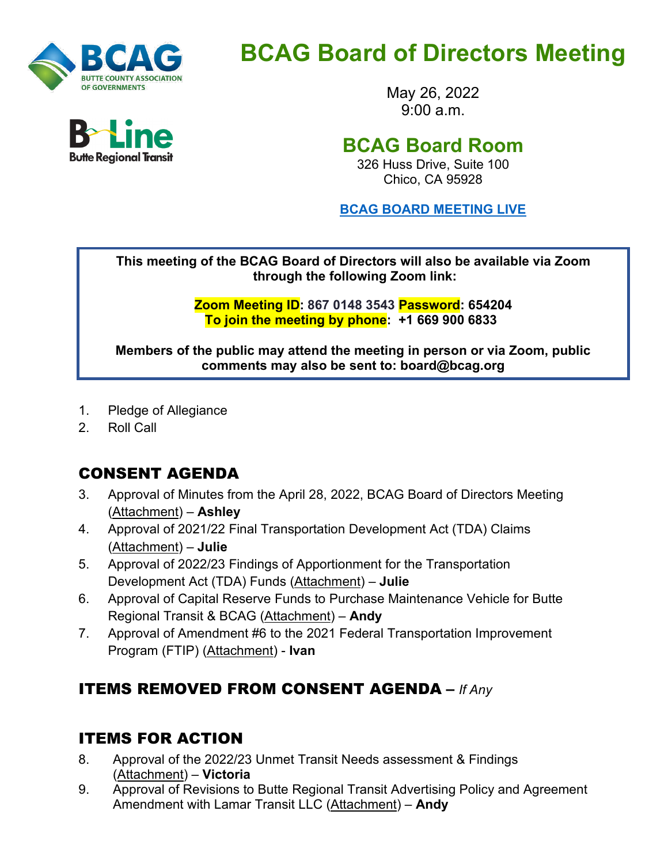

# **BCAG Board of Directors Meeting**

May 26, 2022  $9.00 a m$ 

# **BCAG Board Room**

326 Huss Drive, Suite 100 Chico, CA 95928

**BCAG BOARD [MEETING](https://us02web.zoom.us/j/86701483543?pwd=RG1JazhmME9Lc1YvbmwrR2Q3U2haQT09) LIVE**

**This meeting of the BCAG Board of Directors will also be available via Zoom through the following Zoom link:**

> **Zoom Meeting ID: 867 0148 3543 Password: 654204 To join the meeting by phone: +1 669 900 6833**

**Members of the public may attend the meeting in person or via Zoom, public comments may also be sent to: board@bcag.org**

- 1. Pledge of Allegiance
- 2. Roll Call

## CONSENT AGENDA

- 3. Approval of Minutes from the April 28, 2022, BCAG Board of Directors Meeting (Attachment) – **Ashley**
- 4. Approval of 2021/22 Final Transportation Development Act (TDA) Claims (Attachment) – **Julie**
- 5. Approval of 2022/23 Findings of Apportionment for the Transportation Development Act (TDA) Funds (Attachment) – **Julie**
- 6. Approval of Capital Reserve Funds to Purchase Maintenance Vehicle for Butte Regional Transit & BCAG (Attachment) – **Andy**
- 7. Approval of Amendment #6 to the 2021 Federal Transportation Improvement Program (FTIP) (Attachment) - **Ivan**

## ITEMS REMOVED FROM CONSENT AGENDA **–** *If Any*

#### ITEMS FOR ACTION

- 8. Approval of the 2022/23 Unmet Transit Needs assessment & Findings (Attachment) – **Victoria**
- 9. Approval of Revisions to Butte Regional Transit Advertising Policy and Agreement Amendment with Lamar Transit LLC (Attachment) – **Andy**